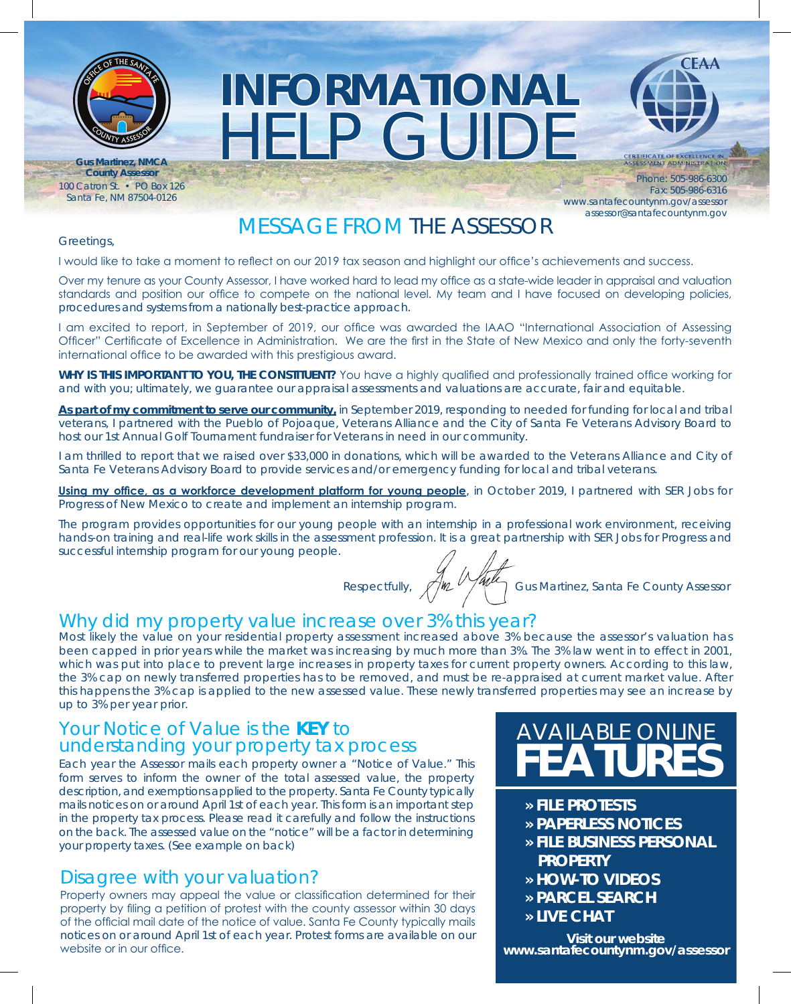

**Gus Martinez, NMCA** 100 Catron St. • PO Box 126 Santa Fe, NM 87504-0126

# HELP GUIDE **INFORMATIONAL**



ITIFICATE OF EXCELLENCE IN<br>ESSMENT ADMINISTRATION **County Assessor**<br>
Phone: 505-986-6300 Fax: 505-986-6316 www.santafecountynm.gov/assessor assessor@santafecountynm.gov

# MESSAGE FROM THE ASSESSOR

#### Greetings,

I would like to take a moment to reflect on our 2019 tax season and highlight our office's achievements and success.

Over my tenure as your County Assessor, I have worked hard to lead my office as a state-wide leader in appraisal and valuation standards and position our office to compete on the national level. My team and I have focused on developing policies, procedures and systems from a nationally best-practice approach.

I am excited to report, in September of 2019, our office was awarded the IAAO "International Association of Assessing Officer" Certificate of Excellence in Administration. We are the first in the State of New Mexico and only the forty-seventh international office to be awarded with this prestigious award.

**WHY IS THIS IMPORTANT TO YOU, THE CONSTITUENT?** You have a highly qualified and professionally trained office working for and with you; ultimately, we guarantee our appraisal assessments and valuations are accurate, fair and equitable.

**As part of my commitment to serve our community,** in September 2019, responding to needed for funding for local and tribal veterans, I partnered with the Pueblo of Pojoaque, Veterans Alliance and the City of Santa Fe Veterans Advisory Board to host our 1st Annual Golf Tournament fundraiser for Veterans in need in our community.

I am thrilled to report that we raised over \$33,000 in donations, which will be awarded to the Veterans Alliance and City of Santa Fe Veterans Advisory Board to provide services and/or emergency funding for local and tribal veterans.

**Using my office, as a workforce development platform for young people**, in October 2019, I partnered with SER Jobs for Progress of New Mexico to create and implement an internship program.

The program provides opportunities for our young people with an internship in a professional work environment, receiving hands-on training and real-life work skills in the assessment profession. It is a great partnership with SER Jobs for Progress and successful internship program for our young people.

Respectfully, Mullet Tomas Gus Martinez, Santa Fe County Assessor

## Why did my property value increase over 3% this year?

Most likely the value on your residential property assessment increased above 3% because the assessor's valuation has been capped in prior years while the market was increasing by much more than 3%. The 3% law went in to effect in 2001, which was put into place to prevent large increases in property taxes for current property owners. According to this law, the 3% cap on newly transferred properties has to be removed, and must be re-appraised at current market value. After this happens the 3% cap is applied to the new assessed value. These newly transferred properties may see an increase by up to 3% per year prior.

# Your Notice of Value is the **KEY** to understanding your property tax process

Each year the Assessor mails each property owner a "Notice of Value." This form serves to inform the owner of the total assessed value, the property description, and exemptions applied to the property. Santa Fe County typically mails notices on or around April 1st of each year. This form is an important step in the property tax process. Please read it carefully and follow the instructions on the back. The assessed value on the "notice" will be a factor in determining your property taxes. (See example on back)

# Disagree with your valuation?

Property owners may appeal the value or classification determined for their property by filing a petition of protest with the county assessor within 30 days of the official mail date of the notice of value. Santa Fe County typically mails notices on or around April 1st of each year. Protest forms are available on our website or in our office.

# AVAILABLE ONLINE **FEATURES**

- **» FILE PROTESTS**
- **» PAPERLESS NOTICES**
- **» FILE BUSINESS PERSONAL PROPERTY**
- **» HOW-TO VIDEOS**
- **» PARCEL SEARCH**
- **» LIVE CHAT**

**Visit our website www.santafecountynm.gov/assessor**